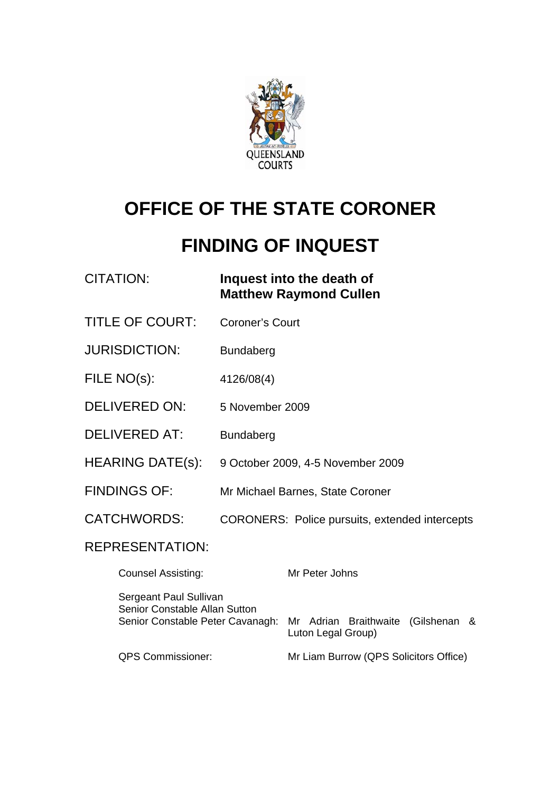

# **OFFICE OF THE STATE CORONER**

# **FINDING OF INQUEST**

| <b>CITATION:</b>                                                                                                                                         | Inquest into the death of<br><b>Matthew Raymond Cullen</b> |
|----------------------------------------------------------------------------------------------------------------------------------------------------------|------------------------------------------------------------|
| <b>TITLE OF COURT:</b>                                                                                                                                   | <b>Coroner's Court</b>                                     |
| <b>JURISDICTION:</b>                                                                                                                                     | <b>Bundaberg</b>                                           |
| FILE NO(s):                                                                                                                                              | 4126/08(4)                                                 |
| <b>DELIVERED ON:</b>                                                                                                                                     | 5 November 2009                                            |
| <b>DELIVERED AT:</b>                                                                                                                                     | <b>Bundaberg</b>                                           |
| <b>HEARING DATE(s):</b>                                                                                                                                  | 9 October 2009, 4-5 November 2009                          |
| <b>FINDINGS OF:</b>                                                                                                                                      | Mr Michael Barnes, State Coroner                           |
| <b>CATCHWORDS:</b>                                                                                                                                       | <b>CORONERS: Police pursuits, extended intercepts</b>      |
| <b>REPRESENTATION:</b>                                                                                                                                   |                                                            |
| <b>Counsel Assisting:</b>                                                                                                                                | Mr Peter Johns                                             |
| Sergeant Paul Sullivan<br>Senior Constable Allan Sutton<br>Senior Constable Peter Cavanagh:<br>(Gilshenan<br>Mr Adrian Braithwaite<br>Luton Legal Group) |                                                            |

QPS Commissioner: Mr Liam Burrow (QPS Solicitors Office)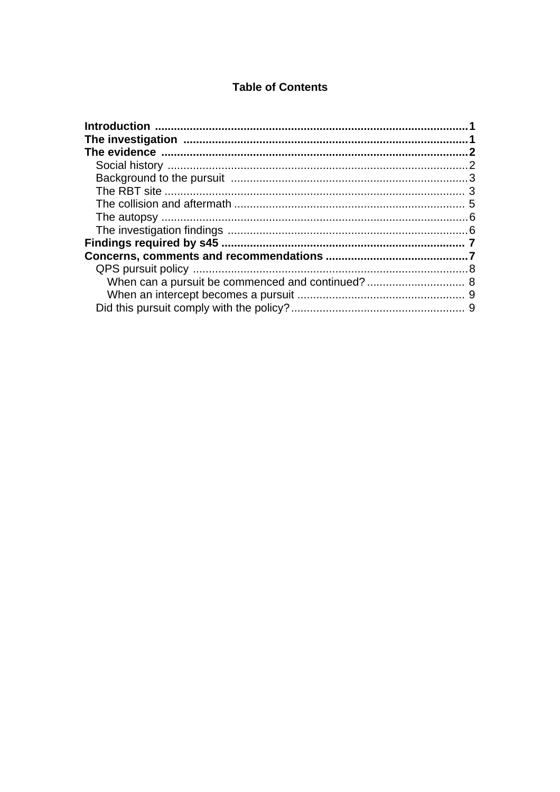### **Table of Contents**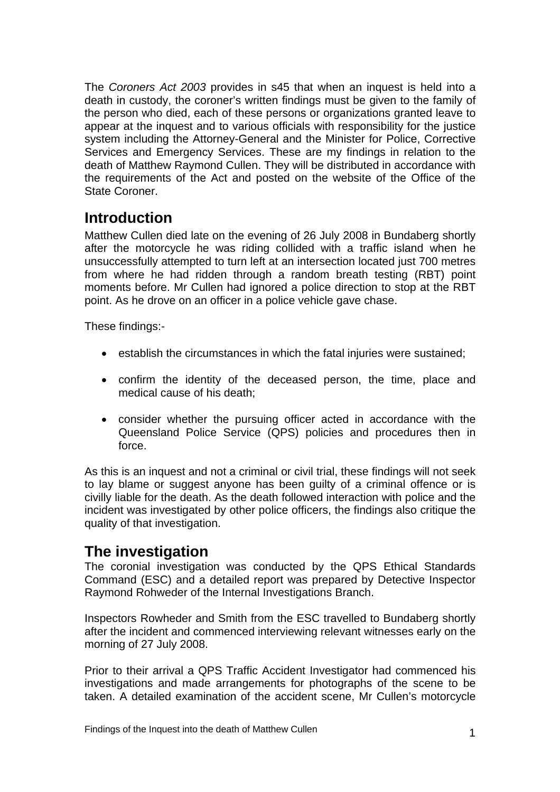<span id="page-2-0"></span>The *Coroners Act 2003* provides in s45 that when an inquest is held into a death in custody, the coroner's written findings must be given to the family of the person who died, each of these persons or organizations granted leave to appear at the inquest and to various officials with responsibility for the justice system including the Attorney-General and the Minister for Police, Corrective Services and Emergency Services. These are my findings in relation to the death of Matthew Raymond Cullen. They will be distributed in accordance with the requirements of the Act and posted on the website of the Office of the State Coroner.

# **Introduction**

Matthew Cullen died late on the evening of 26 July 2008 in Bundaberg shortly after the motorcycle he was riding collided with a traffic island when he unsuccessfully attempted to turn left at an intersection located just 700 metres from where he had ridden through a random breath testing (RBT) point moments before. Mr Cullen had ignored a police direction to stop at the RBT point. As he drove on an officer in a police vehicle gave chase.

These findings:-

- establish the circumstances in which the fatal injuries were sustained;
- confirm the identity of the deceased person, the time, place and medical cause of his death;
- consider whether the pursuing officer acted in accordance with the Queensland Police Service (QPS) policies and procedures then in force.

As this is an inquest and not a criminal or civil trial, these findings will not seek to lay blame or suggest anyone has been guilty of a criminal offence or is civilly liable for the death. As the death followed interaction with police and the incident was investigated by other police officers, the findings also critique the quality of that investigation.

# **The investigation**

The coronial investigation was conducted by the QPS Ethical Standards Command (ESC) and a detailed report was prepared by Detective Inspector Raymond Rohweder of the Internal Investigations Branch.

Inspectors Rowheder and Smith from the ESC travelled to Bundaberg shortly after the incident and commenced interviewing relevant witnesses early on the morning of 27 July 2008.

Prior to their arrival a QPS Traffic Accident Investigator had commenced his investigations and made arrangements for photographs of the scene to be taken. A detailed examination of the accident scene, Mr Cullen's motorcycle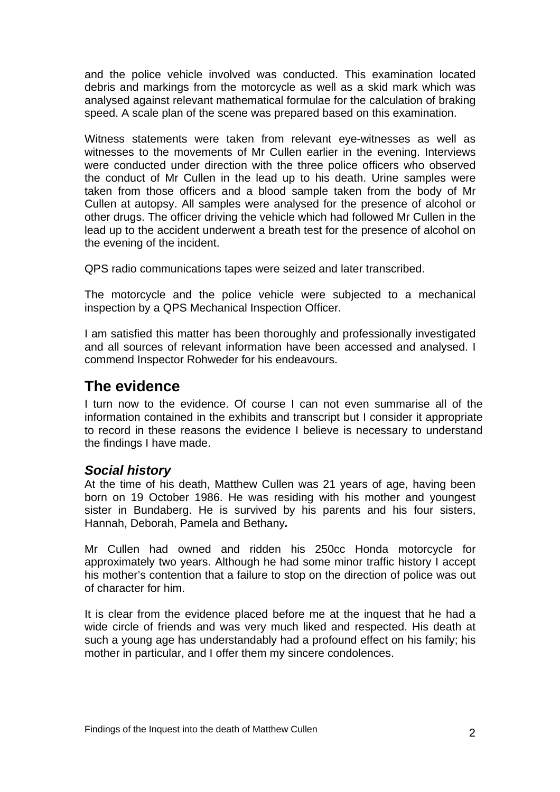<span id="page-3-0"></span>and the police vehicle involved was conducted. This examination located debris and markings from the motorcycle as well as a skid mark which was analysed against relevant mathematical formulae for the calculation of braking speed. A scale plan of the scene was prepared based on this examination.

Witness statements were taken from relevant eye-witnesses as well as witnesses to the movements of Mr Cullen earlier in the evening. Interviews were conducted under direction with the three police officers who observed the conduct of Mr Cullen in the lead up to his death. Urine samples were taken from those officers and a blood sample taken from the body of Mr Cullen at autopsy. All samples were analysed for the presence of alcohol or other drugs. The officer driving the vehicle which had followed Mr Cullen in the lead up to the accident underwent a breath test for the presence of alcohol on the evening of the incident.

QPS radio communications tapes were seized and later transcribed.

The motorcycle and the police vehicle were subjected to a mechanical inspection by a QPS Mechanical Inspection Officer.

I am satisfied this matter has been thoroughly and professionally investigated and all sources of relevant information have been accessed and analysed. I commend Inspector Rohweder for his endeavours.

# **The evidence**

I turn now to the evidence. Of course I can not even summarise all of the information contained in the exhibits and transcript but I consider it appropriate to record in these reasons the evidence I believe is necessary to understand the findings I have made.

#### *Social history*

At the time of his death, Matthew Cullen was 21 years of age, having been born on 19 October 1986. He was residing with his mother and youngest sister in Bundaberg. He is survived by his parents and his four sisters, Hannah, Deborah, Pamela and Bethany*.* 

Mr Cullen had owned and ridden his 250cc Honda motorcycle for approximately two years. Although he had some minor traffic history I accept his mother's contention that a failure to stop on the direction of police was out of character for him.

It is clear from the evidence placed before me at the inquest that he had a wide circle of friends and was very much liked and respected. His death at such a young age has understandably had a profound effect on his family; his mother in particular, and I offer them my sincere condolences.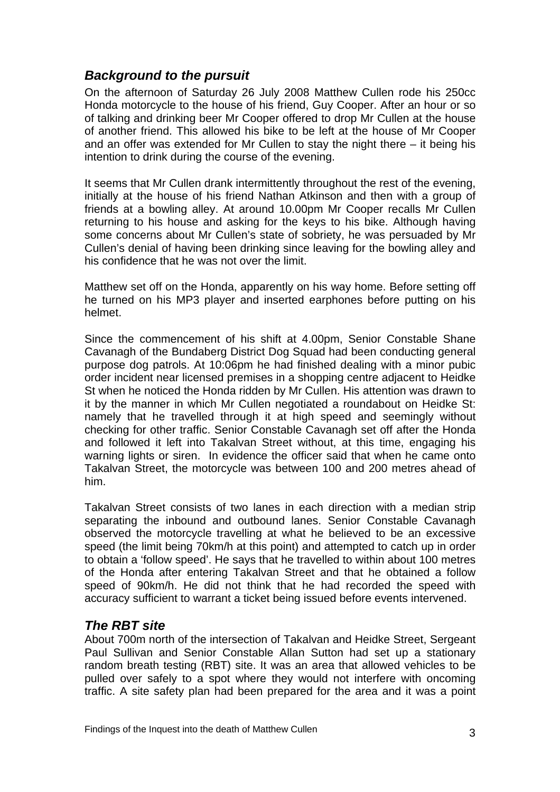## <span id="page-4-0"></span>*Background to the pursuit*

On the afternoon of Saturday 26 July 2008 Matthew Cullen rode his 250cc Honda motorcycle to the house of his friend, Guy Cooper. After an hour or so of talking and drinking beer Mr Cooper offered to drop Mr Cullen at the house of another friend. This allowed his bike to be left at the house of Mr Cooper and an offer was extended for Mr Cullen to stay the night there – it being his intention to drink during the course of the evening.

It seems that Mr Cullen drank intermittently throughout the rest of the evening, initially at the house of his friend Nathan Atkinson and then with a group of friends at a bowling alley. At around 10.00pm Mr Cooper recalls Mr Cullen returning to his house and asking for the keys to his bike. Although having some concerns about Mr Cullen's state of sobriety, he was persuaded by Mr Cullen's denial of having been drinking since leaving for the bowling alley and his confidence that he was not over the limit.

Matthew set off on the Honda, apparently on his way home. Before setting off he turned on his MP3 player and inserted earphones before putting on his helmet.

Since the commencement of his shift at 4.00pm, Senior Constable Shane Cavanagh of the Bundaberg District Dog Squad had been conducting general purpose dog patrols. At 10:06pm he had finished dealing with a minor pubic order incident near licensed premises in a shopping centre adjacent to Heidke St when he noticed the Honda ridden by Mr Cullen. His attention was drawn to it by the manner in which Mr Cullen negotiated a roundabout on Heidke St: namely that he travelled through it at high speed and seemingly without checking for other traffic. Senior Constable Cavanagh set off after the Honda and followed it left into Takalvan Street without, at this time, engaging his warning lights or siren. In evidence the officer said that when he came onto Takalvan Street, the motorcycle was between 100 and 200 metres ahead of him.

Takalvan Street consists of two lanes in each direction with a median strip separating the inbound and outbound lanes. Senior Constable Cavanagh observed the motorcycle travelling at what he believed to be an excessive speed (the limit being 70km/h at this point) and attempted to catch up in order to obtain a 'follow speed'. He says that he travelled to within about 100 metres of the Honda after entering Takalvan Street and that he obtained a follow speed of 90km/h. He did not think that he had recorded the speed with accuracy sufficient to warrant a ticket being issued before events intervened.

## *The RBT site*

About 700m north of the intersection of Takalvan and Heidke Street, Sergeant Paul Sullivan and Senior Constable Allan Sutton had set up a stationary random breath testing (RBT) site. It was an area that allowed vehicles to be pulled over safely to a spot where they would not interfere with oncoming traffic. A site safety plan had been prepared for the area and it was a point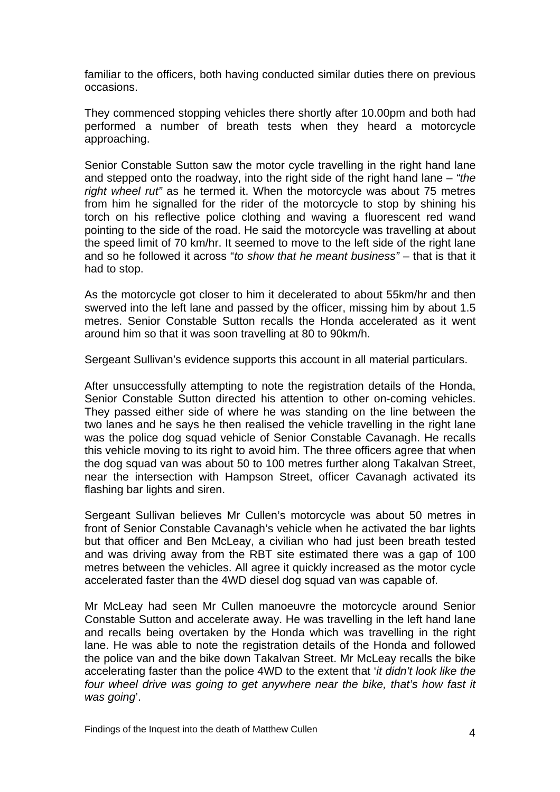familiar to the officers, both having conducted similar duties there on previous occasions.

They commenced stopping vehicles there shortly after 10.00pm and both had performed a number of breath tests when they heard a motorcycle approaching.

Senior Constable Sutton saw the motor cycle travelling in the right hand lane and stepped onto the roadway, into the right side of the right hand lane – *"the right wheel rut"* as he termed it. When the motorcycle was about 75 metres from him he signalled for the rider of the motorcycle to stop by shining his torch on his reflective police clothing and waving a fluorescent red wand pointing to the side of the road. He said the motorcycle was travelling at about the speed limit of 70 km/hr. It seemed to move to the left side of the right lane and so he followed it across "*to show that he meant business"* – that is that it had to stop.

As the motorcycle got closer to him it decelerated to about 55km/hr and then swerved into the left lane and passed by the officer, missing him by about 1.5 metres. Senior Constable Sutton recalls the Honda accelerated as it went around him so that it was soon travelling at 80 to 90km/h.

Sergeant Sullivan's evidence supports this account in all material particulars.

After unsuccessfully attempting to note the registration details of the Honda, Senior Constable Sutton directed his attention to other on-coming vehicles. They passed either side of where he was standing on the line between the two lanes and he says he then realised the vehicle travelling in the right lane was the police dog squad vehicle of Senior Constable Cavanagh. He recalls this vehicle moving to its right to avoid him. The three officers agree that when the dog squad van was about 50 to 100 metres further along Takalvan Street, near the intersection with Hampson Street, officer Cavanagh activated its flashing bar lights and siren.

Sergeant Sullivan believes Mr Cullen's motorcycle was about 50 metres in front of Senior Constable Cavanagh's vehicle when he activated the bar lights but that officer and Ben McLeay, a civilian who had just been breath tested and was driving away from the RBT site estimated there was a gap of 100 metres between the vehicles. All agree it quickly increased as the motor cycle accelerated faster than the 4WD diesel dog squad van was capable of.

Mr McLeay had seen Mr Cullen manoeuvre the motorcycle around Senior Constable Sutton and accelerate away. He was travelling in the left hand lane and recalls being overtaken by the Honda which was travelling in the right lane. He was able to note the registration details of the Honda and followed the police van and the bike down Takalvan Street. Mr McLeay recalls the bike accelerating faster than the police 4WD to the extent that '*it didn't look like the*  four wheel drive was going to get anywhere near the bike, that's how fast it *was going*'.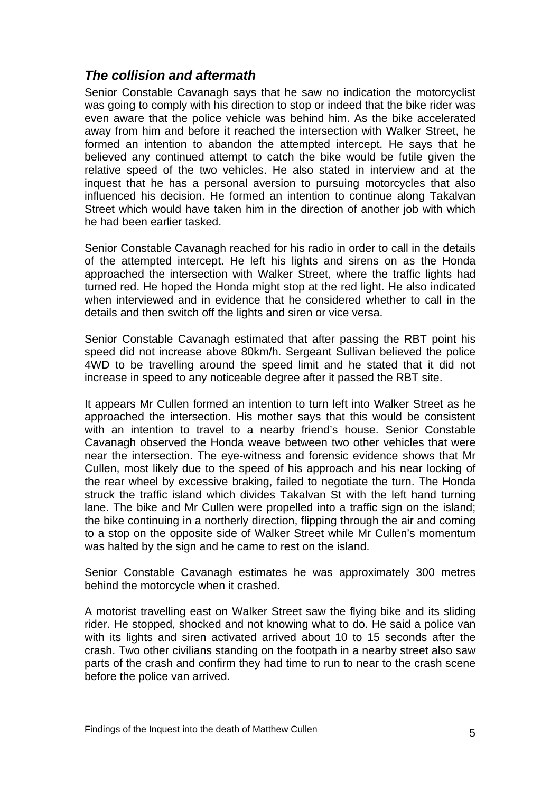## <span id="page-6-0"></span>*The collision and aftermath*

Senior Constable Cavanagh says that he saw no indication the motorcyclist was going to comply with his direction to stop or indeed that the bike rider was even aware that the police vehicle was behind him. As the bike accelerated away from him and before it reached the intersection with Walker Street, he formed an intention to abandon the attempted intercept. He says that he believed any continued attempt to catch the bike would be futile given the relative speed of the two vehicles. He also stated in interview and at the inquest that he has a personal aversion to pursuing motorcycles that also influenced his decision. He formed an intention to continue along Takalvan Street which would have taken him in the direction of another job with which he had been earlier tasked.

Senior Constable Cavanagh reached for his radio in order to call in the details of the attempted intercept. He left his lights and sirens on as the Honda approached the intersection with Walker Street, where the traffic lights had turned red. He hoped the Honda might stop at the red light. He also indicated when interviewed and in evidence that he considered whether to call in the details and then switch off the lights and siren or vice versa.

Senior Constable Cavanagh estimated that after passing the RBT point his speed did not increase above 80km/h. Sergeant Sullivan believed the police 4WD to be travelling around the speed limit and he stated that it did not increase in speed to any noticeable degree after it passed the RBT site.

It appears Mr Cullen formed an intention to turn left into Walker Street as he approached the intersection. His mother says that this would be consistent with an intention to travel to a nearby friend's house. Senior Constable Cavanagh observed the Honda weave between two other vehicles that were near the intersection. The eye-witness and forensic evidence shows that Mr Cullen, most likely due to the speed of his approach and his near locking of the rear wheel by excessive braking, failed to negotiate the turn. The Honda struck the traffic island which divides Takalvan St with the left hand turning lane. The bike and Mr Cullen were propelled into a traffic sign on the island; the bike continuing in a northerly direction, flipping through the air and coming to a stop on the opposite side of Walker Street while Mr Cullen's momentum was halted by the sign and he came to rest on the island.

Senior Constable Cavanagh estimates he was approximately 300 metres behind the motorcycle when it crashed.

A motorist travelling east on Walker Street saw the flying bike and its sliding rider. He stopped, shocked and not knowing what to do. He said a police van with its lights and siren activated arrived about 10 to 15 seconds after the crash. Two other civilians standing on the footpath in a nearby street also saw parts of the crash and confirm they had time to run to near to the crash scene before the police van arrived.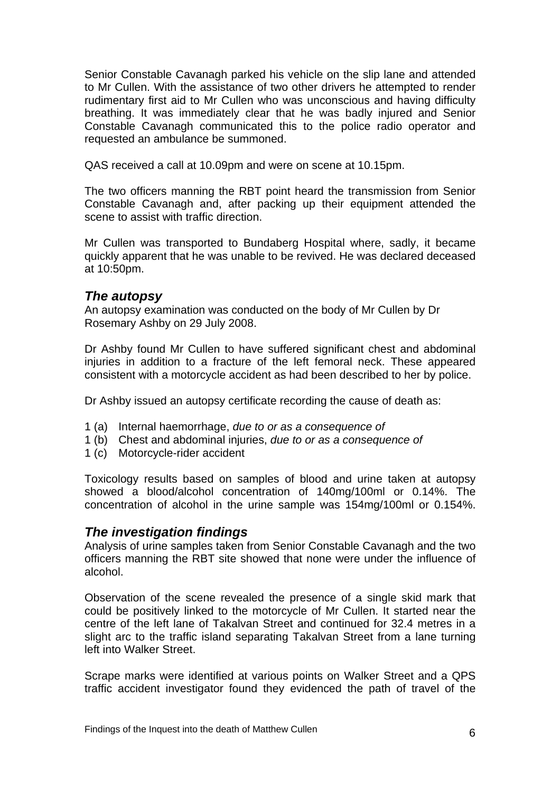<span id="page-7-0"></span>Senior Constable Cavanagh parked his vehicle on the slip lane and attended to Mr Cullen. With the assistance of two other drivers he attempted to render rudimentary first aid to Mr Cullen who was unconscious and having difficulty breathing. It was immediately clear that he was badly injured and Senior Constable Cavanagh communicated this to the police radio operator and requested an ambulance be summoned.

QAS received a call at 10.09pm and were on scene at 10.15pm.

The two officers manning the RBT point heard the transmission from Senior Constable Cavanagh and, after packing up their equipment attended the scene to assist with traffic direction.

Mr Cullen was transported to Bundaberg Hospital where, sadly, it became quickly apparent that he was unable to be revived. He was declared deceased at 10:50pm.

### *The autopsy*

An autopsy examination was conducted on the body of Mr Cullen by Dr Rosemary Ashby on 29 July 2008.

Dr Ashby found Mr Cullen to have suffered significant chest and abdominal injuries in addition to a fracture of the left femoral neck. These appeared consistent with a motorcycle accident as had been described to her by police.

Dr Ashby issued an autopsy certificate recording the cause of death as:

- 1 (a) Internal haemorrhage, *due to or as a consequence of*
- 1 (b) Chest and abdominal injuries, *due to or as a consequence of*
- 1 (c) Motorcycle-rider accident

Toxicology results based on samples of blood and urine taken at autopsy showed a blood/alcohol concentration of 140mg/100ml or 0.14%. The concentration of alcohol in the urine sample was 154mg/100ml or 0.154%.

#### *The investigation findings*

Analysis of urine samples taken from Senior Constable Cavanagh and the two officers manning the RBT site showed that none were under the influence of alcohol.

Observation of the scene revealed the presence of a single skid mark that could be positively linked to the motorcycle of Mr Cullen. It started near the centre of the left lane of Takalvan Street and continued for 32.4 metres in a slight arc to the traffic island separating Takalvan Street from a lane turning left into Walker Street.

Scrape marks were identified at various points on Walker Street and a QPS traffic accident investigator found they evidenced the path of travel of the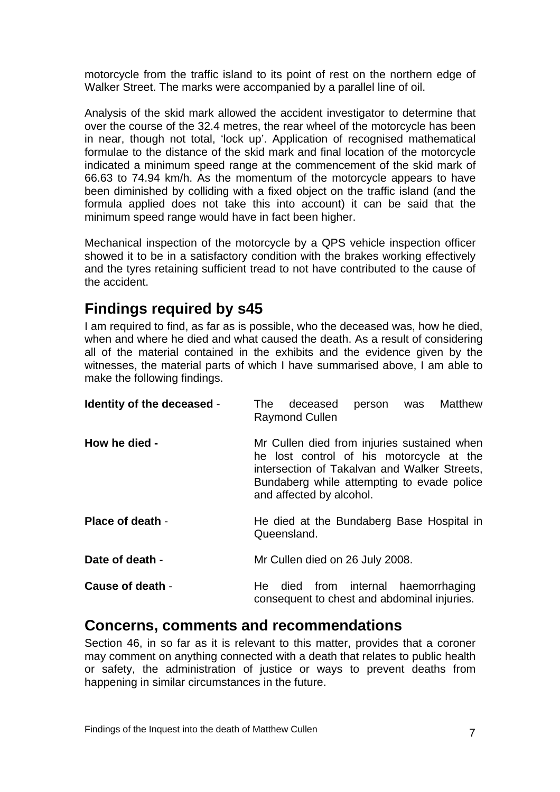<span id="page-8-0"></span>motorcycle from the traffic island to its point of rest on the northern edge of Walker Street. The marks were accompanied by a parallel line of oil.

Analysis of the skid mark allowed the accident investigator to determine that over the course of the 32.4 metres, the rear wheel of the motorcycle has been in near, though not total, 'lock up'. Application of recognised mathematical formulae to the distance of the skid mark and final location of the motorcycle indicated a minimum speed range at the commencement of the skid mark of 66.63 to 74.94 km/h. As the momentum of the motorcycle appears to have been diminished by colliding with a fixed object on the traffic island (and the formula applied does not take this into account) it can be said that the minimum speed range would have in fact been higher.

Mechanical inspection of the motorcycle by a QPS vehicle inspection officer showed it to be in a satisfactory condition with the brakes working effectively and the tyres retaining sufficient tread to not have contributed to the cause of the accident.

# **Findings required by s45**

I am required to find, as far as is possible, who the deceased was, how he died, when and where he died and what caused the death. As a result of considering all of the material contained in the exhibits and the evidence given by the witnesses, the material parts of which I have summarised above, I am able to make the following findings.

| Identity of the deceased - | Matthew<br>person was<br>deceased<br>The T<br><b>Raymond Cullen</b>                                                                                                                                               |
|----------------------------|-------------------------------------------------------------------------------------------------------------------------------------------------------------------------------------------------------------------|
| How he died -              | Mr Cullen died from injuries sustained when<br>he lost control of his motorcycle at the<br>intersection of Takalvan and Walker Streets,<br>Bundaberg while attempting to evade police<br>and affected by alcohol. |
| Place of death -           | He died at the Bundaberg Base Hospital in<br>Queensland.                                                                                                                                                          |
| Date of death -            | Mr Cullen died on 26 July 2008.                                                                                                                                                                                   |
| Cause of death -           | He died from internal haemorrhaging<br>consequent to chest and abdominal injuries.                                                                                                                                |

# **Concerns, comments and recommendations**

Section 46, in so far as it is relevant to this matter, provides that a coroner may comment on anything connected with a death that relates to public health or safety, the administration of justice or ways to prevent deaths from happening in similar circumstances in the future.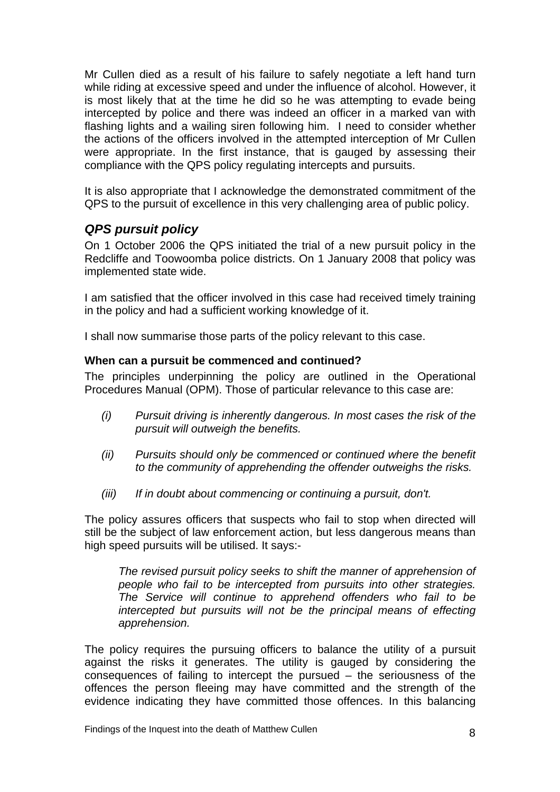<span id="page-9-0"></span>Mr Cullen died as a result of his failure to safely negotiate a left hand turn while riding at excessive speed and under the influence of alcohol. However, it is most likely that at the time he did so he was attempting to evade being intercepted by police and there was indeed an officer in a marked van with flashing lights and a wailing siren following him. I need to consider whether the actions of the officers involved in the attempted interception of Mr Cullen were appropriate. In the first instance, that is gauged by assessing their compliance with the QPS policy regulating intercepts and pursuits.

It is also appropriate that I acknowledge the demonstrated commitment of the QPS to the pursuit of excellence in this very challenging area of public policy.

## *QPS pursuit policy*

On 1 October 2006 the QPS initiated the trial of a new pursuit policy in the Redcliffe and Toowoomba police districts. On 1 January 2008 that policy was implemented state wide.

I am satisfied that the officer involved in this case had received timely training in the policy and had a sufficient working knowledge of it.

I shall now summarise those parts of the policy relevant to this case.

#### **When can a pursuit be commenced and continued?**

The principles underpinning the policy are outlined in the Operational Procedures Manual (OPM). Those of particular relevance to this case are:

- *(i) Pursuit driving is inherently dangerous. In most cases the risk of the pursuit will outweigh the benefits.*
- *(ii) Pursuits should only be commenced or continued where the benefit to the community of apprehending the offender outweighs the risks.*
- *(iii) If in doubt about commencing or continuing a pursuit, don't.*

The policy assures officers that suspects who fail to stop when directed will still be the subject of law enforcement action, but less dangerous means than high speed pursuits will be utilised. It says:-

*The revised pursuit policy seeks to shift the manner of apprehension of people who fail to be intercepted from pursuits into other strategies. The Service will continue to apprehend offenders who fail to be intercepted but pursuits will not be the principal means of effecting apprehension.* 

The policy requires the pursuing officers to balance the utility of a pursuit against the risks it generates. The utility is gauged by considering the consequences of failing to intercept the pursued – the seriousness of the offences the person fleeing may have committed and the strength of the evidence indicating they have committed those offences. In this balancing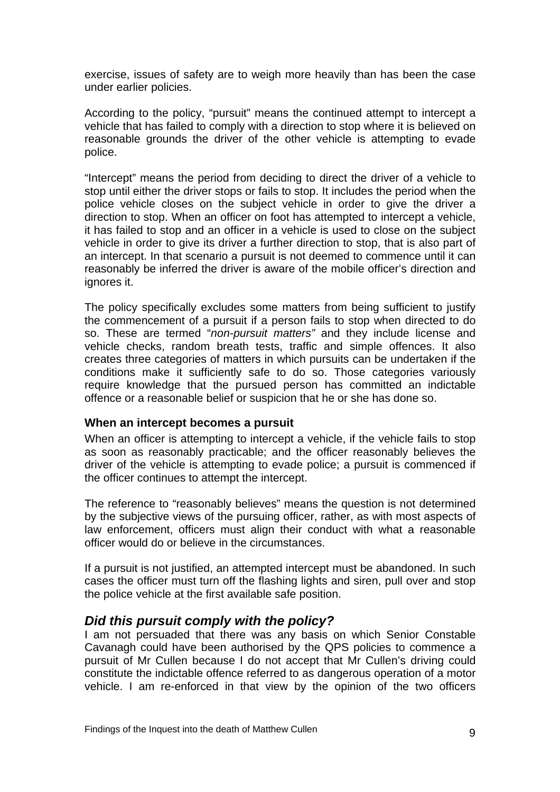<span id="page-10-0"></span>exercise, issues of safety are to weigh more heavily than has been the case under earlier policies.

According to the policy, "pursuit" means the continued attempt to intercept a vehicle that has failed to comply with a direction to stop where it is believed on reasonable grounds the driver of the other vehicle is attempting to evade police.

"Intercept" means the period from deciding to direct the driver of a vehicle to stop until either the driver stops or fails to stop. It includes the period when the police vehicle closes on the subject vehicle in order to give the driver a direction to stop. When an officer on foot has attempted to intercept a vehicle, it has failed to stop and an officer in a vehicle is used to close on the subject vehicle in order to give its driver a further direction to stop, that is also part of an intercept. In that scenario a pursuit is not deemed to commence until it can reasonably be inferred the driver is aware of the mobile officer's direction and ignores it.

The policy specifically excludes some matters from being sufficient to justify the commencement of a pursuit if a person fails to stop when directed to do so. These are termed "*non-pursuit matters"* and they include license and vehicle checks, random breath tests, traffic and simple offences. It also creates three categories of matters in which pursuits can be undertaken if the conditions make it sufficiently safe to do so. Those categories variously require knowledge that the pursued person has committed an indictable offence or a reasonable belief or suspicion that he or she has done so.

#### **When an intercept becomes a pursuit**

When an officer is attempting to intercept a vehicle, if the vehicle fails to stop as soon as reasonably practicable; and the officer reasonably believes the driver of the vehicle is attempting to evade police; a pursuit is commenced if the officer continues to attempt the intercept.

The reference to "reasonably believes" means the question is not determined by the subjective views of the pursuing officer, rather, as with most aspects of law enforcement, officers must align their conduct with what a reasonable officer would do or believe in the circumstances.

If a pursuit is not justified, an attempted intercept must be abandoned. In such cases the officer must turn off the flashing lights and siren, pull over and stop the police vehicle at the first available safe position.

#### *Did this pursuit comply with the policy?*

I am not persuaded that there was any basis on which Senior Constable Cavanagh could have been authorised by the QPS policies to commence a pursuit of Mr Cullen because I do not accept that Mr Cullen's driving could constitute the indictable offence referred to as dangerous operation of a motor vehicle. I am re-enforced in that view by the opinion of the two officers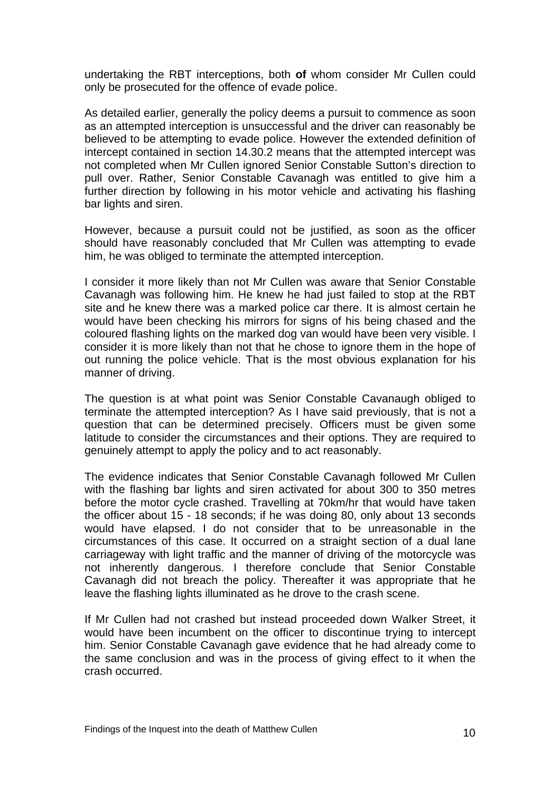undertaking the RBT interceptions, both **of** whom consider Mr Cullen could only be prosecuted for the offence of evade police.

As detailed earlier, generally the policy deems a pursuit to commence as soon as an attempted interception is unsuccessful and the driver can reasonably be believed to be attempting to evade police. However the extended definition of intercept contained in section 14.30.2 means that the attempted intercept was not completed when Mr Cullen ignored Senior Constable Sutton's direction to pull over. Rather, Senior Constable Cavanagh was entitled to give him a further direction by following in his motor vehicle and activating his flashing bar lights and siren.

However, because a pursuit could not be justified, as soon as the officer should have reasonably concluded that Mr Cullen was attempting to evade him, he was obliged to terminate the attempted interception.

I consider it more likely than not Mr Cullen was aware that Senior Constable Cavanagh was following him. He knew he had just failed to stop at the RBT site and he knew there was a marked police car there. It is almost certain he would have been checking his mirrors for signs of his being chased and the coloured flashing lights on the marked dog van would have been very visible. I consider it is more likely than not that he chose to ignore them in the hope of out running the police vehicle. That is the most obvious explanation for his manner of driving.

The question is at what point was Senior Constable Cavanaugh obliged to terminate the attempted interception? As I have said previously, that is not a question that can be determined precisely. Officers must be given some latitude to consider the circumstances and their options. They are required to genuinely attempt to apply the policy and to act reasonably.

The evidence indicates that Senior Constable Cavanagh followed Mr Cullen with the flashing bar lights and siren activated for about 300 to 350 metres before the motor cycle crashed. Travelling at 70km/hr that would have taken the officer about 15 - 18 seconds; if he was doing 80, only about 13 seconds would have elapsed. I do not consider that to be unreasonable in the circumstances of this case. It occurred on a straight section of a dual lane carriageway with light traffic and the manner of driving of the motorcycle was not inherently dangerous. I therefore conclude that Senior Constable Cavanagh did not breach the policy. Thereafter it was appropriate that he leave the flashing lights illuminated as he drove to the crash scene.

If Mr Cullen had not crashed but instead proceeded down Walker Street, it would have been incumbent on the officer to discontinue trying to intercept him. Senior Constable Cavanagh gave evidence that he had already come to the same conclusion and was in the process of giving effect to it when the crash occurred.